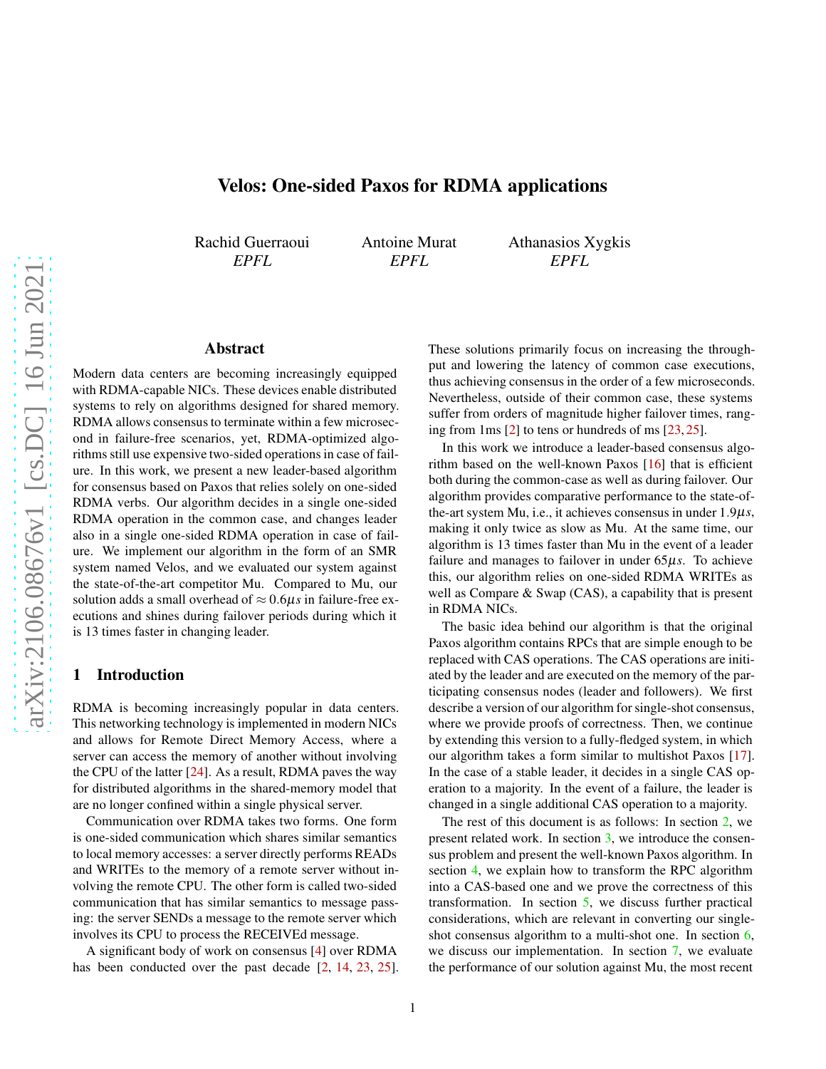# Velos: One-sided Paxos for RDMA applications

Rachid Guerraoui *EPFL*

Antoine Murat *EPFL*

Athanasios Xygkis *EPFL*

## Abstract

Modern data centers are becoming increasingly equipped with RDMA-capable NICs. These devices enable distributed systems to rely on algorithms designed for shared memory. RDMA allows consensus to terminate within a few microsecond in failure-free scenarios, yet, RDMA-optimized algorithms still use expensive two-sided operations in case of failure. In this work, we present a new leader-based algorithm for consensus based on Paxos that relies solely on one-sided RDMA verbs. Our algorithm decides in a single one-sided RDMA operation in the common case, and changes leader also in a single one-sided RDMA operation in case of failure. We implement our algorithm in the form of an SMR system named Velos, and we evaluated our system against the state-of-the-art competitor Mu. Compared to Mu, our solution adds a small overhead of  $\approx 0.6 \mu s$  in failure-free executions and shines during failover periods during which it is 13 times faster in changing leader.

### 1 Introduction

RDMA is becoming increasingly popular in data centers. This networking technology is implemented in modern NICs and allows for Remote Direct Memory Access, where a server can access the memory of another without involving the CPU of the latter [\[24\]](#page-9-0). As a result, RDMA paves the way for distributed algorithms in the shared-memory model that are no longer confined within a single physical server.

Communication over RDMA takes two forms. One form is one-sided communication which shares similar semantics to local memory accesses: a server directly performs READs and WRITEs to the memory of a remote server without involving the remote CPU. The other form is called two-sided communication that has similar semantics to message passing: the server SENDs a message to the remote server which involves its CPU to process the RECEIVEd message.

A significant body of work on consensus [\[4\]](#page-8-0) over RDMA has been conducted over the past decade [\[2,](#page-8-1) [14,](#page-9-1) [23,](#page-9-2) [25\]](#page-9-3). These solutions primarily focus on increasing the throughput and lowering the latency of common case executions, thus achieving consensus in the order of a few microseconds. Nevertheless, outside of their common case, these systems suffer from orders of magnitude higher failover times, ranging from 1ms [\[2\]](#page-8-1) to tens or hundreds of ms [\[23,](#page-9-2) [25\]](#page-9-3).

In this work we introduce a leader-based consensus algorithm based on the well-known Paxos [\[16\]](#page-9-4) that is efficient both during the common-case as well as during failover. Our algorithm provides comparative performance to the state-ofthe-art system Mu, i.e., it achieves consensus in under 1.9µ*s*, making it only twice as slow as Mu. At the same time, our algorithm is 13 times faster than Mu in the event of a leader failure and manages to failover in under 65µ*s*. To achieve this, our algorithm relies on one-sided RDMA WRITEs as well as Compare & Swap (CAS), a capability that is present in RDMA NICs.

The basic idea behind our algorithm is that the original Paxos algorithm contains RPCs that are simple enough to be replaced with CAS operations. The CAS operations are initiated by the leader and are executed on the memory of the participating consensus nodes (leader and followers). We first describe a version of our algorithm for single-shot consensus, where we provide proofs of correctness. Then, we continue by extending this version to a fully-fledged system, in which our algorithm takes a form similar to multishot Paxos [\[17\]](#page-9-5). In the case of a stable leader, it decides in a single CAS operation to a majority. In the event of a failure, the leader is changed in a single additional CAS operation to a majority.

The rest of this document is as follows: In section [2,](#page-1-0) we present related work. In section [3,](#page-1-1) we introduce the consensus problem and present the well-known Paxos algorithm. In section [4,](#page-2-0) we explain how to transform the RPC algorithm into a CAS-based one and we prove the correctness of this transformation. In section [5,](#page-5-0) we discuss further practical considerations, which are relevant in converting our single-shot consensus algorithm to a multi-shot one. In section [6,](#page-6-0) we discuss our implementation. In section [7,](#page-7-0) we evaluate the performance of our solution against Mu, the most recent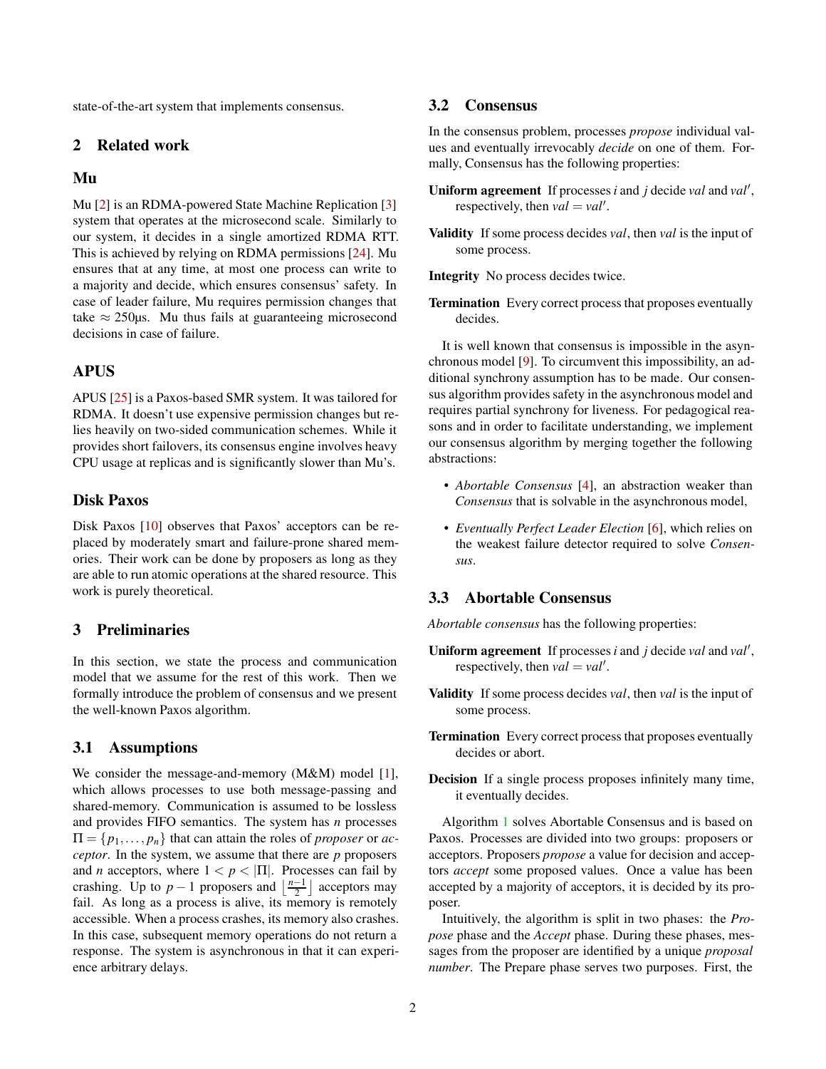state-of-the-art system that implements consensus.

## <span id="page-1-0"></span>2 Related work

## Mu

Mu [\[2\]](#page-8-1) is an RDMA-powered State Machine Replication [\[3\]](#page-8-2) system that operates at the microsecond scale. Similarly to our system, it decides in a single amortized RDMA RTT. This is achieved by relying on RDMA permissions [\[24\]](#page-9-0). Mu ensures that at any time, at most one process can write to a majority and decide, which ensures consensus' safety. In case of leader failure, Mu requires permission changes that take  $\approx$  250 $\mu$ s. Mu thus fails at guaranteeing microsecond decisions in case of failure.

# APUS

APUS [\[25\]](#page-9-3) is a Paxos-based SMR system. It was tailored for RDMA. It doesn't use expensive permission changes but relies heavily on two-sided communication schemes. While it provides short failovers, its consensus engine involves heavy CPU usage at replicas and is significantly slower than Mu's.

# Disk Paxos

Disk Paxos [\[10\]](#page-8-3) observes that Paxos' acceptors can be replaced by moderately smart and failure-prone shared memories. Their work can be done by proposers as long as they are able to run atomic operations at the shared resource. This work is purely theoretical.

# <span id="page-1-1"></span>3 Preliminaries

In this section, we state the process and communication model that we assume for the rest of this work. Then we formally introduce the problem of consensus and we present the well-known Paxos algorithm.

## 3.1 Assumptions

We consider the message-and-memory (M&M) model [\[1\]](#page-8-4), which allows processes to use both message-passing and shared-memory. Communication is assumed to be lossless and provides FIFO semantics. The system has *n* processes  $\Pi = \{p_1, \ldots, p_n\}$  that can attain the roles of *proposer* or *acceptor*. In the system, we assume that there are *p* proposers and *n* acceptors, where  $1 < p < |\Pi|$ . Processes can fail by crashing. Up to  $p-1$  proposers and  $\left\lfloor \frac{n-1}{2} \right\rfloor$  acceptors may fail. As long as a process is alive, its memory is remotely accessible. When a process crashes, its memory also crashes. In this case, subsequent memory operations do not return a response. The system is asynchronous in that it can experience arbitrary delays.

## 3.2 Consensus

In the consensus problem, processes *propose* individual values and eventually irrevocably *decide* on one of them. Formally, Consensus has the following properties:

- Uniform agreement If processes *i* and *j* decide *val* and *val'*, respectively, then  $val = val'$ .
- Validity If some process decides *val*, then *val* is the input of some process.
- Integrity No process decides twice.
- Termination Every correct process that proposes eventually decides.

It is well known that consensus is impossible in the asynchronous model [\[9\]](#page-8-5). To circumvent this impossibility, an additional synchrony assumption has to be made. Our consensus algorithm provides safety in the asynchronous model and requires partial synchrony for liveness. For pedagogical reasons and in order to facilitate understanding, we implement our consensus algorithm by merging together the following abstractions:

- *Abortable Consensus* [\[4\]](#page-8-0), an abstraction weaker than *Consensus* that is solvable in the asynchronous model,
- *Eventually Perfect Leader Election* [\[6\]](#page-8-6), which relies on the weakest failure detector required to solve *Consensus*.

#### <span id="page-1-2"></span>3.3 Abortable Consensus

*Abortable consensus* has the following properties:

- Uniform agreement If processes *i* and *j* decide *val* and *val'*, respectively, then  $val = val'$ .
- Validity If some process decides *val*, then *val* is the input of some process.
- Termination Every correct process that proposes eventually decides or abort.
- Decision If a single process proposes infinitely many time, it eventually decides.

Algorithm [1](#page-2-1) solves Abortable Consensus and is based on Paxos. Processes are divided into two groups: proposers or acceptors. Proposers *propose* a value for decision and acceptors *accept* some proposed values. Once a value has been accepted by a majority of acceptors, it is decided by its proposer.

Intuitively, the algorithm is split in two phases: the *Propose* phase and the *Accept* phase. During these phases, messages from the proposer are identified by a unique *proposal number*. The Prepare phase serves two purposes. First, the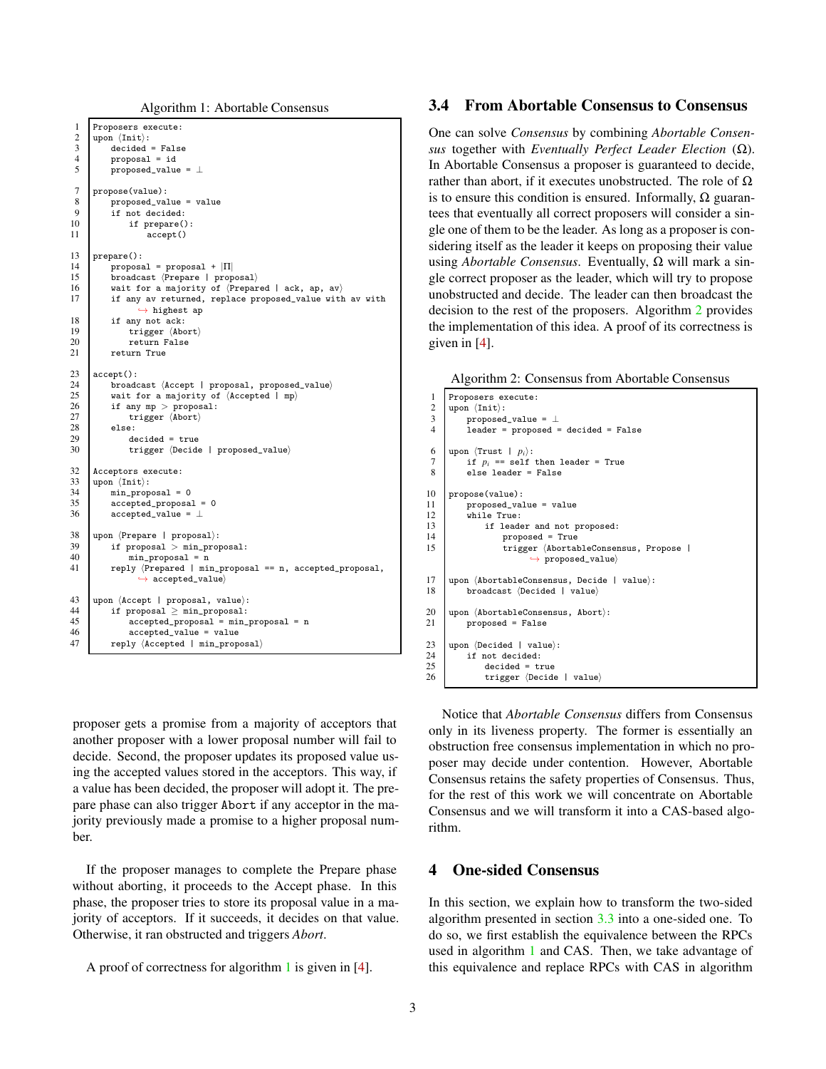Algorithm 1: Abortable Consensus

```
1 Proposers execute:
 2 upon hIniti:
              decided = False\begin{array}{c|c}\n4 & \text{proposal} = \text{id} \\
5 & \text{proposed_value}\n\end{array}proposed_value = \bot7 propose(value):
 \begin{array}{c|c} 8 & \text{proposed_value} = \text{value} \\ 9 & \text{if not decided} \end{array}9 if not decided:<br>10 if prepare()
\begin{array}{c|c} 10 & \text{if prepare();}\\ 11 & \text{accept();} \end{array}accept()
13 prepare():<br>14 propos:
14 proposal = proposal + |\Pi|<br>15 broadcast (Prepare | prop
15 broadcast (Prepare | proposal)<br>16 wait for a majority of (Prepar
16 wait for a majority of (Prepared | ack, ap, av)<br>17 if any av returned, replace proposed_value with
              if any av returned, replace proposed_value with av with
                        \leftrightarrow highest ap
18 if any not ack:<br>19 trigger (Abo
19 \text{trigger } \langle \text{Abort} \rangle<br>20 \text{return False}20 return False<br>21 return True
              return True
23 accept():<br>24 broad
24 broadcast (Accept | proposal, proposed_value)<br>25 wait for a majority of (Accepted | mp)
25 wait for a majority of \langle Accepted | mp\rangle<br>26 if any mp > proposal:
26 if any mp > proposal:<br>
27 if trigger (Abort)
27 \text{trigger} \langle \text{Abort} \rangle<br>28 else:
\begin{array}{c|c} 28 & \text{else:} \\ 29 & & \text{de} \end{array}29 decided = true<br>30 trigger (Decide
                    trigger (Decide | proposed_value)
32 Acceptors execute:<br>33 upon \{Init \}:
        upon \langle \text{Init} \rangle:
34 min_proposal = 0<br>35 accepted_proposal
              accepted\_proposal = 036 accepted value = \perp38 upon \langlePrepare | proposal\rangle:
\begin{array}{c|c}\n 39 & \text{if proposal} > \text{min\_proposal:} \\
 40 & \text{min~proposal} = \text{n}\n\end{array}min proposal = n41 | reply (Prepared | min_proposal == n, accepted_proposal,
                        \leftrightarrow accepted_value)
43 upon \langleAccept | proposal, value\rangle:
44 if proposal \geq min_proposal:<br>45 accepted proposal = min
                    accepted\_proposal = min\_proposal = n46 accepted_value = value<br>47 b reply (Accepted I min prope
              reply \langle Accepted | min\_proposal \rangle
```
proposer gets a promise from a majority of acceptors that another proposer with a lower proposal number will fail to decide. Second, the proposer updates its proposed value using the accepted values stored in the acceptors. This way, if a value has been decided, the proposer will adopt it. The prepare phase can also trigger Abort if any acceptor in the majority previously made a promise to a higher proposal number.

If the proposer manages to complete the Prepare phase without aborting, it proceeds to the Accept phase. In this phase, the proposer tries to store its proposal value in a majority of acceptors. If it succeeds, it decides on that value. Otherwise, it ran obstructed and triggers *Abort*.

A proof of correctness for algorithm [1](#page-2-1) is given in [\[4\]](#page-8-0).

### 3.4 From Abortable Consensus to Consensus

One can solve *Consensus* by combining *Abortable Consensus* together with *Eventually Perfect Leader Election* (Ω). In Abortable Consensus a proposer is guaranteed to decide, rather than abort, if it executes unobstructed. The role of  $\Omega$ is to ensure this condition is ensured. Informally,  $\Omega$  guarantees that eventually all correct proposers will consider a single one of them to be the leader. As long as a proposer is considering itself as the leader it keeps on proposing their value using *Abortable Consensus*. Eventually, Ω will mark a single correct proposer as the leader, which will try to propose unobstructed and decide. The leader can then broadcast the decision to the rest of the proposers. Algorithm [2](#page-2-2) provides the implementation of this idea. A proof of its correctness is given in [\[4\]](#page-8-0).

<span id="page-2-2"></span>

```
1 Proposers execute:
 2 | upon \langle \text{Init} \rangle:
 \begin{array}{c|c}\n3 & \text{proposed_value} = \perp \\
4 & \text{leader} = \text{proposed} = \end{array}4 leader = proposed = decided = False
 6 | upon \langle \text{Trust} \mid p_i \rangle:<br>
7 | if p_i == \text{self}7 if p_i = self then leader = True<br>8 else leader = False
             else leader = False
10 propose(value):
11 proposed_value = value<br>12 while True:
12 while True:<br>13 if lead
                   if leader and not proposed:
14 proposed = True<br>15 proposed = True<br>trigger (Abortal
                          -<br>trigger (AbortableConsensus, Propose |
                                   \leftrightarrow proposed_value)
17 upon (AbortableConsensus, Decide | value):<br>18 broadcast (Decided | value)
             broadcast (Decided | value)
20 upon \langleAbortableConsensus, Abort\rangle:<br>21 proposed = False
             proposed = False23 upon \langleDecided | value\rangle:<br>24 if not decided:
24 if not decided:<br>25 decided = tr25 decided = true<br>26 trigger (Decid
                    trigger \langle Decide | value \rangle
```
Notice that *Abortable Consensus* differs from Consensus only in its liveness property. The former is essentially an obstruction free consensus implementation in which no proposer may decide under contention. However, Abortable Consensus retains the safety properties of Consensus. Thus, for the rest of this work we will concentrate on Abortable Consensus and we will transform it into a CAS-based algorithm.

## <span id="page-2-0"></span>4 One-sided Consensus

In this section, we explain how to transform the two-sided algorithm presented in section [3.3](#page-1-2) into a one-sided one. To do so, we first establish the equivalence between the RPCs used in algorithm [1](#page-2-1) and CAS. Then, we take advantage of this equivalence and replace RPCs with CAS in algorithm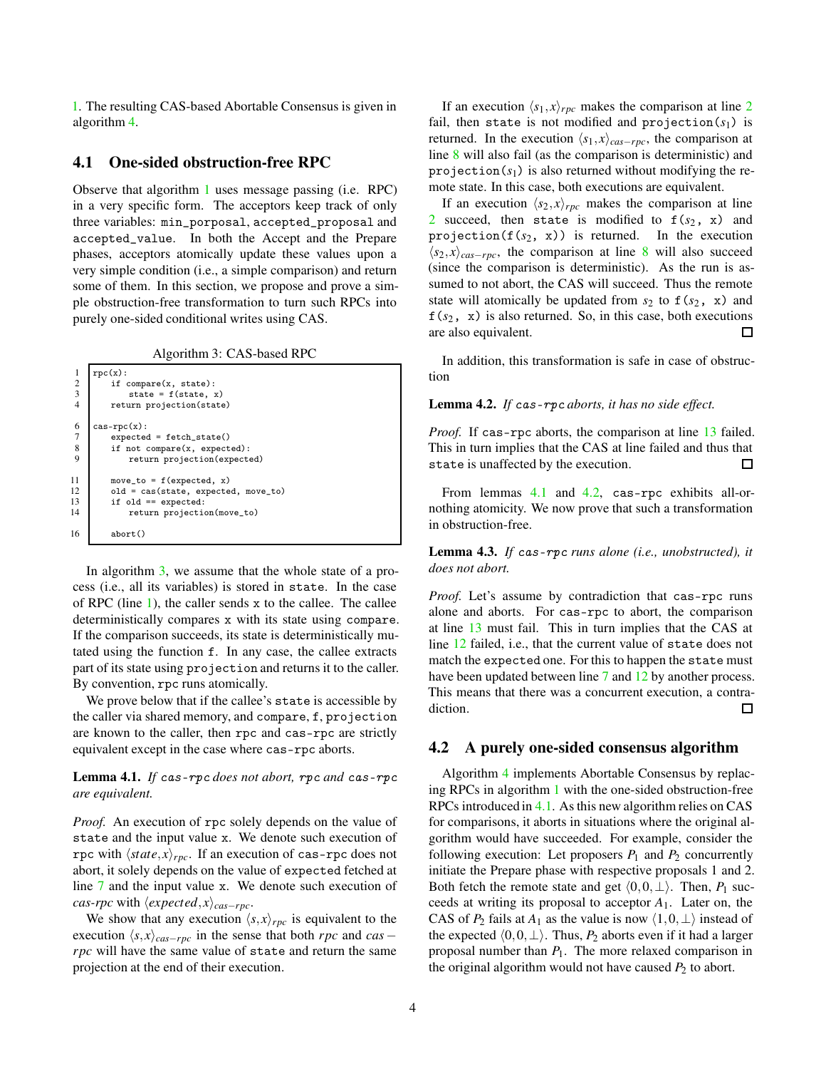[1.](#page-2-1) The resulting CAS-based Abortable Consensus is given in algorithm [4.](#page-4-0)

### <span id="page-3-9"></span>4.1 One-sided obstruction-free RPC

Observe that algorithm [1](#page-2-1) uses message passing (i.e. RPC) in a very specific form. The acceptors keep track of only three variables: min\_porposal, accepted\_proposal and accepted\_value. In both the Accept and the Prepare phases, acceptors atomically update these values upon a very simple condition (i.e., a simple comparison) and return some of them. In this section, we propose and prove a simple obstruction-free transformation to turn such RPCs into purely one-sided conditional writes using CAS.

Algorithm 3: CAS-based RPC

```
\begin{array}{c|c} 1 & \text{rpc(x)}: \\ 2 & \text{if} \end{array}\begin{array}{c|c} 2 & \text{if compare(x, state)}: \\ 3 & \text{state = f(state, i)} \end{array}state = f(state, x)4 return projection(state)
 6 \nvert \ncas-{\rm rpc}(x):<br>axpected
 7 expected = fetch_state()<br>8 if not compare(x, expect)
 8 \t\t \text{if not compare}(x, expected):<br>9
                   return projection(expected)
11 move_to = f(expected, x)<br>12 old = cas(state, expecte
12 old = cas(state, expected, move_to)<br>13 if old == expected:
13 if old == expected:<br>14 return projection
                   return projection(move_to)
16 abort()
```
<span id="page-3-8"></span><span id="page-3-5"></span>In algorithm  $3$ , we assume that the whole state of a process (i.e., all its variables) is stored in state. In the case of RPC (line [1\)](#page-3-1), the caller sends x to the callee. The callee deterministically compares x with its state using compare. If the comparison succeeds, its state is deterministically mutated using the function f. In any case, the callee extracts part of its state using projection and returns it to the caller. By convention, rpc runs atomically.

We prove below that if the callee's state is accessible by the caller via shared memory, and compare, f, projection are known to the caller, then rpc and cas-rpc are strictly equivalent except in the case where cas-rpc aborts.

### <span id="page-3-6"></span>Lemma 4.1. *If* cas-rpc *does not abort,* rpc *and* cas-rpc *are equivalent.*

*Proof.* An execution of rpc solely depends on the value of state and the input value x. We denote such execution of rpc with  $\langle state, x \rangle_{\text{rec}}$ . If an execution of cas-rpc does not abort, it solely depends on the value of expected fetched at line [7](#page-3-2) and the input value x. We denote such execution of *cas-rpc* with  $\langle expected, x \rangle_{cas-pre}$ .

We show that any execution  $\langle s, x \rangle_{\text{rpc}}$  is equivalent to the execution  $\langle s, x \rangle_{cas-rpc}$  in the sense that both *rpc* and *cas* − *rpc* will have the same value of state and return the same projection at the end of their execution.

If an execution  $\langle s_1, x \rangle_{\text{rpc}}$  makes the comparison at line [2](#page-3-3) fail, then state is not modified and projection( $s_1$ ) is returned. In the execution  $\langle s_1, x \rangle_{cas-rpc}$ , the comparison at line [8](#page-3-4) will also fail (as the comparison is deterministic) and projection $(s_1)$  is also returned without modifying the remote state. In this case, both executions are equivalent.

If an execution  $\langle s_2, x \rangle_{\text{rpc}}$  makes the comparison at line [2](#page-3-3) succeed, then state is modified to  $f(s_2, x)$  and projection( $f(s_2, x)$ ) is returned. In the execution  $\langle s_2, x \rangle_{cas-rpc}$ , the comparison at line [8](#page-3-4) will also succeed (since the comparison is deterministic). As the run is assumed to not abort, the CAS will succeed. Thus the remote state will atomically be updated from  $s_2$  to  $f(s_2, x)$  and f(*s*2, x) is also returned. So, in this case, both executions are also equivalent. П

In addition, this transformation is safe in case of obstruction

#### <span id="page-3-7"></span>Lemma 4.2. *If* cas-rpc *aborts, it has no side effect.*

*Proof.* If cas-rpc aborts, the comparison at line [13](#page-3-5) failed. This in turn implies that the CAS at line failed and thus that state is unaffected by the execution. П

From lemmas [4.1](#page-3-6) and [4.2,](#page-3-7) cas-rpc exhibits all-ornothing atomicity. We now prove that such a transformation in obstruction-free.

<span id="page-3-10"></span>Lemma 4.3. *If* cas-rpc *runs alone (i.e., unobstructed), it does not abort.*

*Proof.* Let's assume by contradiction that cas-rpc runs alone and aborts. For cas-rpc to abort, the comparison at line [13](#page-3-5) must fail. This in turn implies that the CAS at line [12](#page-3-8) failed, i.e., that the current value of state does not match the expected one. For this to happen the state must have been updated between line [7](#page-3-2) and [12](#page-3-8) by another process. This means that there was a concurrent execution, a contradiction. Π

#### <span id="page-3-11"></span>4.2 A purely one-sided consensus algorithm

Algorithm [4](#page-4-0) implements Abortable Consensus by replacing RPCs in algorithm [1](#page-2-1) with the one-sided obstruction-free RPCs introduced in [4.1.](#page-3-9) As this new algorithm relies on CAS for comparisons, it aborts in situations where the original algorithm would have succeeded. For example, consider the following execution: Let proposers  $P_1$  and  $P_2$  concurrently initiate the Prepare phase with respective proposals 1 and 2. Both fetch the remote state and get  $(0,0,\perp)$ . Then, *P*<sub>1</sub> succeeds at writing its proposal to acceptor *A*1. Later on, the CAS of  $P_2$  fails at  $A_1$  as the value is now  $\langle 1,0,\perp \rangle$  instead of the expected  $\langle 0,0,\perp \rangle$ . Thus, *P*<sub>2</sub> aborts even if it had a larger proposal number than *P*1. The more relaxed comparison in the original algorithm would not have caused  $P_2$  to abort.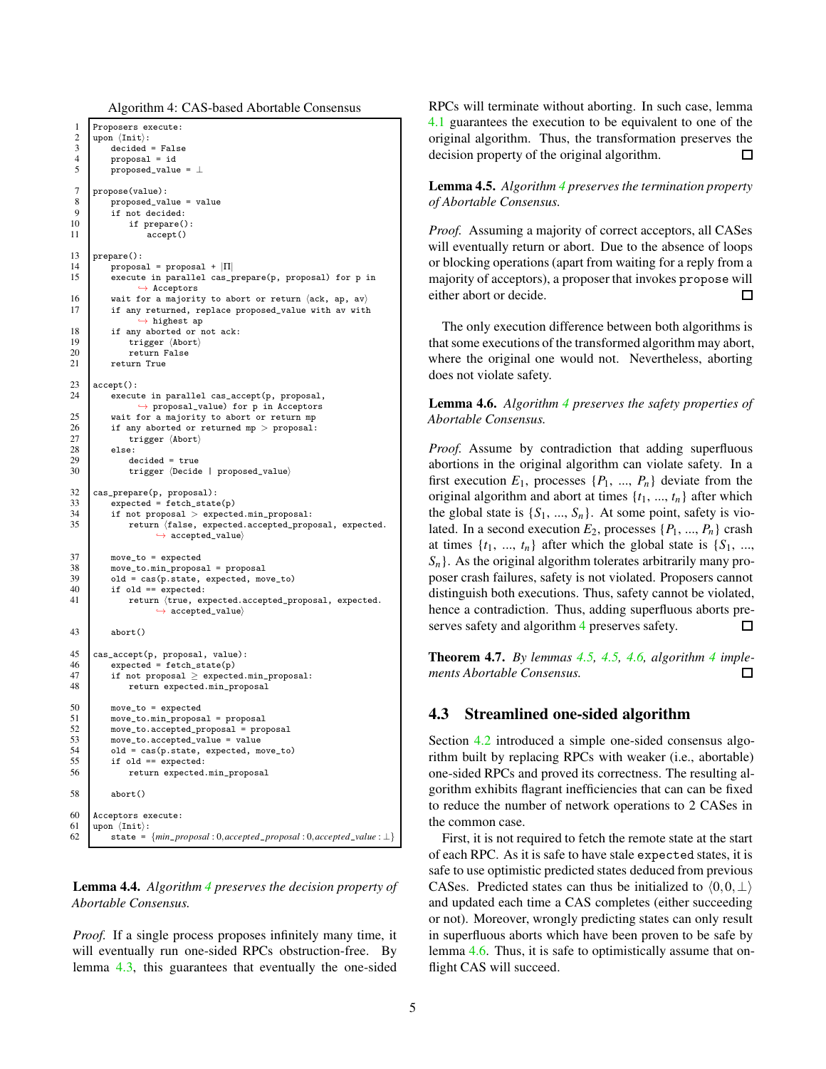Algorithm 4: CAS-based Abortable Consensus

```
1 Proposers execute:
 2 upon hIniti:
           decided = False
 4 proposal = id<br>5 proposed_value
           proposed_value = \bot7 propose(value):
 8 \nvert proposed_value = value
9 if not decided:<br>10 if prepare()
\begin{array}{c|c} 10 & \text{if prepare();}\\ 11 & \text{accept();} \end{array}accept()
13 prepare():<br>14 propos:
          proposal = proposal + |{\Pi}|15 execute in parallel cas_prepare(p, proposal) for p in
                   ֒→ Acceptors
16 wait for a majority to abort or return \begin{cases} 16 \\ 17 \end{cases} if any returned, replace proposed value with av with
           if any returned, replace proposed_value with av with
                   \rightarrow highest ap
18 if any aborted or not ack:<br>
19 if any aborted or not ack:
19 \text{trigger } \langle \text{Abort} \rangle<br>20 \text{return False}20 return False<br>21 return True
           return True
23 accept():<br>24 execut
           execute in parallel cas_accept(p, proposal,
                   ֒→ proposal_value) for p in Acceptors
25 wait for a majority to abort or return mp<br>
26 if any aborted or returned mp > proposal:
26 if any aborted or returned mp > proposal:<br>27 irigger \langleAbort\rangle27 trigger \langleAbort\rangle<br>28 else:
\begin{array}{c|c}\n 28 & \text{else:} \\
 29 & \text{de}\n \end{array}29 decided = true<br>30 trigger (Decide
               trigger (Decide | proposed_value)
32 cas_prepare(p, proposal):
33 expected = fetch_state(p)
34 if not proposal > expected.min_proposal:
35 return (false, expected.accepted_proposal, expected.
                       \leftrightarrow accepted_value)
37 move_to = expected
38 move_to.min_proposal = proposal
39 old = cas(p.state, expected, move_to)
40 if old == expected:
41 return (true, expected.accepted_proposal, expected.
                       \leftrightarrow accepted_value\rangle43 abort()
45 cas_accept(p, proposal, value):<br>46 expected = fetch state(p)
           expected = fetch\_state(p)47 if not proposal \geq expected.min_proposal:
48 return expected.min_proposal
50 move_to = expected<br>51 move to.min proposa
           move_to.min_proposal = proposal
52 move_to.accepted_proposal = proposal 53 move to accepted value = value
53 move_to.accepted_value = value<br>54 old = cas(p.state. expected. mo
54 old = cas(p.state, expected, move_to)<br>55 if old == expected:
           if old == expected:
56 return expected.min_proposal
58 abort()
60 Acceptors execute:
61 upon \langle \text{Init} \rangle:<br>62 state =
           62 state = {min_proposal : 0,accepted_proposal : 0,accepted_value : ⊥}
```
Lemma 4.4. *Algorithm [4](#page-4-0) preserves the decision property of Abortable Consensus.*

*Proof.* If a single process proposes infinitely many time, it will eventually run one-sided RPCs obstruction-free. By lemma [4.3,](#page-3-10) this guarantees that eventually the one-sided

RPCs will terminate without aborting. In such case, lemma [4.1](#page-3-6) guarantees the execution to be equivalent to one of the original algorithm. Thus, the transformation preserves the decision property of the original algorithm.  $\Box$ 

<span id="page-4-1"></span>Lemma 4.5. *Algorithm [4](#page-4-0) preserves the termination property of Abortable Consensus.*

*Proof.* Assuming a majority of correct acceptors, all CASes will eventually return or abort. Due to the absence of loops or blocking operations (apart from waiting for a reply from a majority of acceptors), a proposer that invokes propose will either abort or decide. П

The only execution difference between both algorithms is that some executions of the transformed algorithm may abort, where the original one would not. Nevertheless, aborting does not violate safety.

<span id="page-4-2"></span>Lemma 4.6. *Algorithm [4](#page-4-0) preserves the safety properties of Abortable Consensus.*

*Proof.* Assume by contradiction that adding superfluous abortions in the original algorithm can violate safety. In a first execution  $E_1$ , processes  $\{P_1, ..., P_n\}$  deviate from the original algorithm and abort at times  $\{t_1, ..., t_n\}$  after which the global state is  $\{S_1, ..., S_n\}$ . At some point, safety is violated. In a second execution  $E_2$ , processes  $\{P_1, ..., P_n\}$  crash at times  $\{t_1, ..., t_n\}$  after which the global state is  $\{S_1, ...,$ *Sn*}. As the original algorithm tolerates arbitrarily many proposer crash failures, safety is not violated. Proposers cannot distinguish both executions. Thus, safety cannot be violated, hence a contradiction. Thus, adding superfluous aborts pre-serves safety and algorithm [4](#page-4-0) preserves safety. П

Theorem 4.7. *By lemmas [4.5,](#page-4-1) [4.5,](#page-4-1) [4.6,](#page-4-2) algorithm [4](#page-4-0) implements Abortable Consensus.* П

### 4.3 Streamlined one-sided algorithm

Section [4.2](#page-3-11) introduced a simple one-sided consensus algorithm built by replacing RPCs with weaker (i.e., abortable) one-sided RPCs and proved its correctness. The resulting algorithm exhibits flagrant inefficiencies that can can be fixed to reduce the number of network operations to 2 CASes in the common case.

First, it is not required to fetch the remote state at the start of each RPC. As it is safe to have stale expected states, it is safe to use optimistic predicted states deduced from previous CASes. Predicted states can thus be initialized to  $(0,0,\perp)$ and updated each time a CAS completes (either succeeding or not). Moreover, wrongly predicting states can only result in superfluous aborts which have been proven to be safe by lemma [4.6.](#page-4-2) Thus, it is safe to optimistically assume that onflight CAS will succeed.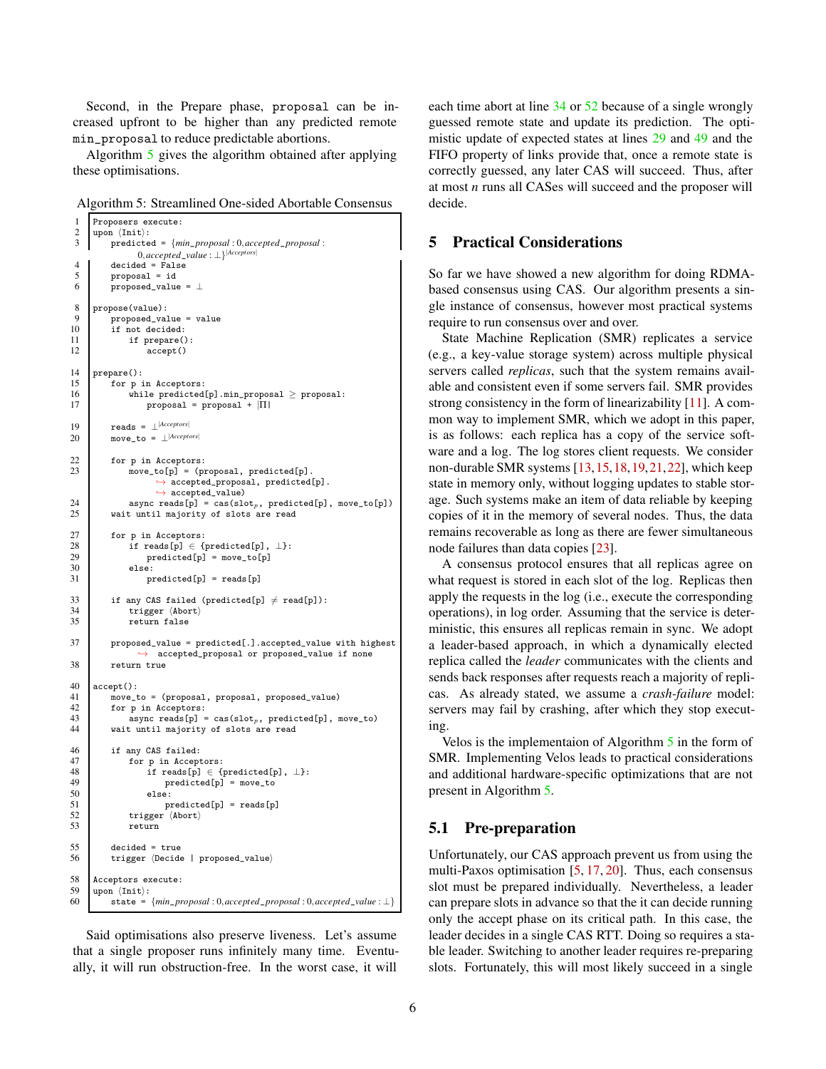Second, in the Prepare phase, proposal can be increased upfront to be higher than any predicted remote min\_proposal to reduce predictable abortions.

Algorithm [5](#page-5-1) gives the algorithm obtained after applying these optimisations.

<span id="page-5-1"></span>Algorithm 5: Streamlined One-sided Abortable Consensus

```
1 Proposers execute:
 \begin{array}{c|c}\n2 & \text{upon } \langle \text{Init} \rangle : \\
3 & \text{predicte}\n\end{array}3 predicted = {min_proposal : 0,accepted_proposal :
                    0,accepted_value : ⊥}|Acceptors|
 \begin{array}{c|c}\n4 & \text{decided} = \text{False} \\
5 & \text{proposal} = \text{id}\n\end{array}5 \n\begin{array}{c}\n5 \n\end{array} proposal = id<br>
6 \n\begin{array}{c}\n\text{proposed value}\n\end{array}proposed_value = \bot8 propose(value):
\begin{array}{c|c} 9 & \text{proposed_value} = \text{value} \\ 10 & \text{if not decided:} \end{array}if not decided:
11 if prepare():
12 accept()
\begin{array}{c|c} 14 & \text{prepare();} \\ 15 & \text{for } p \end{array}for p in Acceptors:
16 while predicted[p].min_proposal \ge proposal:
17 proposal = \text{proposal} + |\Pi|19 reads = \perp<sup>[Acceptors]</sup><br>20 move to = \parallel<sup>[Acceptors]</sup>
            move_t = \bot^{|Access|}\begin{array}{c|c}\n 22 & \text{for } p \text{ in } \text{Acceptors:} \\
 23 & \text{move } \text{to } \text{In} = \text{ (by)}\n \end{array}\overline{\text{move\_to[p]}} = (proposal, predicted[p].
                          \rightarrow accepted_proposal, predicted[p].
                          \leftrightarrow accepted_value)
24 async reads [p] = \text{cas}(\text{slot}_p, \text{ predicted}[p], \text{move\_to}[p])<br>25 wait until majority of slots are read
             wait until majority of slots are read
27 for p in Acceptors:
28 if reads[p] ∈ {predicted[p], \perp}:<br>29 predicted[p] = move_to[p]
                        predicted[p] = move_to[p]30 else:
31 predicted[p] = reads[p]
33 if any CAS failed (predicted[p] \neq read[p]):
34 trigger \langleAbort\rangle35 return false
37 proposed_value = predicted[.].accepted_value with highest
                    \leftrightarrow accepted_proposal or proposed_value if none
38 return true
40 \operatorname{accept}():<br>41 \operatorname{move}41 move_to = (proposal, proposal, proposed_value)
42 for p in Acceptors:<br>43 async reads [p] =
43 async reads[p] = cas(slot<sub>p</sub>, predicted[p], move_to)<br>44 wait until majority of slots are read
             wait until majority of slots are read
46 if any CAS failed:
47 for p in Acceptors:
48 if reads[p] \in {predicted[p], \perp}:<br>49 medicted[n] = move to
49 predicted[p] = move_to<br>50 else:
\begin{array}{c|c}\n50 & \text{else:} \\
51 & \text{pr}\n\end{array}51 predicted[p] = reads[p]<br>52 trigger (Abort)
52 trigger \langleAbort\rangle return
                  return
55 decided = true<br>56 trigger (Decide
             trigger (Decide | proposed_value)
58 Acceptors execute:<br>59 upon \{Init \}:
\begin{bmatrix} 59 \\ 60 \end{bmatrix} upon \langle \text{Init} \rangle:<br>state =
             state = {min\_proposal : 0, accepted\_proposal : 0, accepted\_value : ⊥}
```
<span id="page-5-5"></span><span id="page-5-3"></span><span id="page-5-2"></span>Said optimisations also preserve liveness. Let's assume that a single proposer runs infinitely many time. Eventually, it will run obstruction-free. In the worst case, it will

each time abort at line [34](#page-5-2) or [52](#page-5-3) because of a single wrongly guessed remote state and update its prediction. The optimistic update of expected states at lines [29](#page-5-4) and [49](#page-5-5) and the FIFO property of links provide that, once a remote state is correctly guessed, any later CAS will succeed. Thus, after at most *n* runs all CASes will succeed and the proposer will decide.

### <span id="page-5-0"></span>5 Practical Considerations

So far we have showed a new algorithm for doing RDMAbased consensus using CAS. Our algorithm presents a single instance of consensus, however most practical systems require to run consensus over and over.

State Machine Replication (SMR) replicates a service (e.g., a key-value storage system) across multiple physical servers called *replicas*, such that the system remains available and consistent even if some servers fail. SMR provides strong consistency in the form of linearizability [\[11\]](#page-8-7). A common way to implement SMR, which we adopt in this paper, is as follows: each replica has a copy of the service software and a log. The log stores client requests. We consider non-durable SMR systems [\[13,](#page-9-6)[15,](#page-9-7)[18,](#page-9-8)[19,](#page-9-9)[21,](#page-9-10)[22\]](#page-9-11), which keep state in memory only, without logging updates to stable storage. Such systems make an item of data reliable by keeping copies of it in the memory of several nodes. Thus, the data remains recoverable as long as there are fewer simultaneous node failures than data copies [\[23\]](#page-9-2).

<span id="page-5-4"></span>A consensus protocol ensures that all replicas agree on what request is stored in each slot of the log. Replicas then apply the requests in the log (i.e., execute the corresponding operations), in log order. Assuming that the service is deterministic, this ensures all replicas remain in sync. We adopt a leader-based approach, in which a dynamically elected replica called the *leader* communicates with the clients and sends back responses after requests reach a majority of replicas. As already stated, we assume a *crash-failure* model: servers may fail by crashing, after which they stop executing.

Velos is the implementaion of Algorithm  $5$  in the form of SMR. Implementing Velos leads to practical considerations and additional hardware-specific optimizations that are not present in Algorithm [5.](#page-5-1)

### 5.1 Pre-preparation

Unfortunately, our CAS approach prevent us from using the multi-Paxos optimisation [\[5,](#page-8-8) [17,](#page-9-5) [20\]](#page-9-12). Thus, each consensus slot must be prepared individually. Nevertheless, a leader can prepare slots in advance so that the it can decide running only the accept phase on its critical path. In this case, the leader decides in a single CAS RTT. Doing so requires a stable leader. Switching to another leader requires re-preparing slots. Fortunately, this will most likely succeed in a single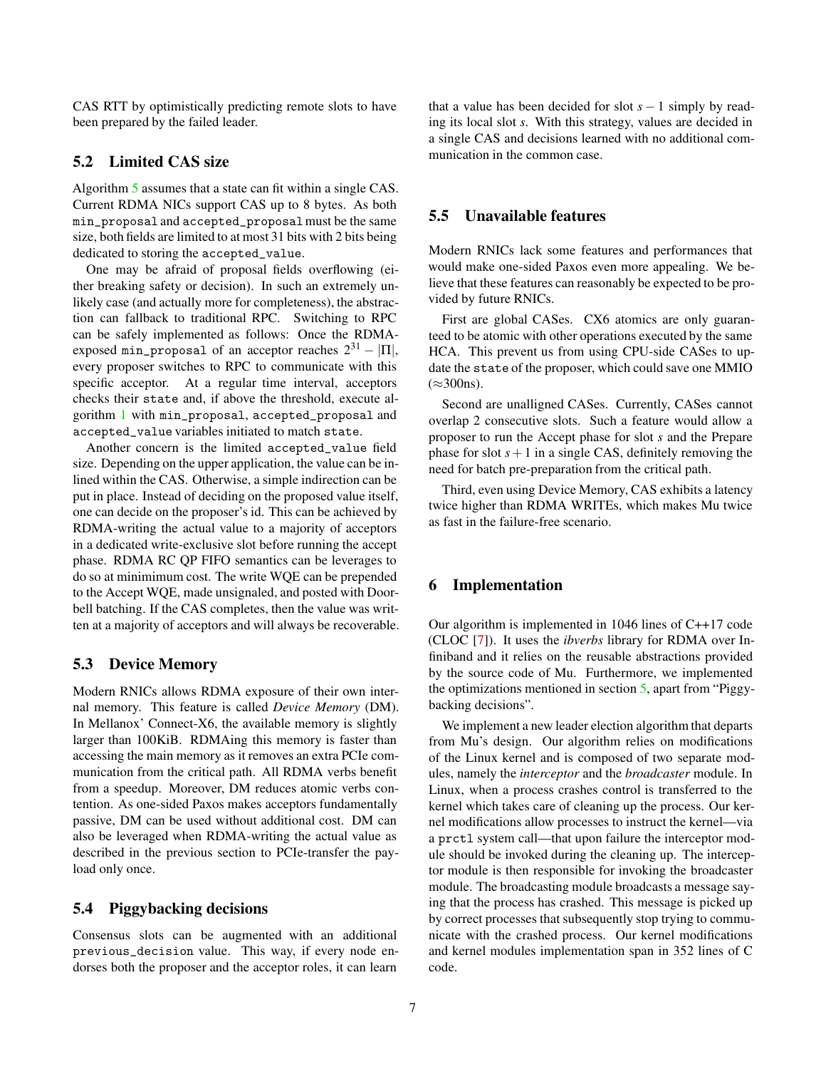CAS RTT by optimistically predicting remote slots to have been prepared by the failed leader.

### 5.2 Limited CAS size

Algorithm [5](#page-5-1) assumes that a state can fit within a single CAS. Current RDMA NICs support CAS up to 8 bytes. As both min\_proposal and accepted\_proposalmust be the same size, both fields are limited to at most 31 bits with 2 bits being dedicated to storing the accepted\_value.

One may be afraid of proposal fields overflowing (either breaking safety or decision). In such an extremely unlikely case (and actually more for completeness), the abstraction can fallback to traditional RPC. Switching to RPC can be safely implemented as follows: Once the RDMAexposed min\_proposal of an acceptor reaches  $2^{31} - |\Pi|$ , every proposer switches to RPC to communicate with this specific acceptor. At a regular time interval, acceptors checks their state and, if above the threshold, execute algorithm [1](#page-2-1) with min\_proposal, accepted\_proposal and accepted\_value variables initiated to match state.

Another concern is the limited accepted\_value field size. Depending on the upper application, the value can be inlined within the CAS. Otherwise, a simple indirection can be put in place. Instead of deciding on the proposed value itself, one can decide on the proposer's id. This can be achieved by RDMA-writing the actual value to a majority of acceptors in a dedicated write-exclusive slot before running the accept phase. RDMA RC QP FIFO semantics can be leverages to do so at minimimum cost. The write WQE can be prepended to the Accept WQE, made unsignaled, and posted with Doorbell batching. If the CAS completes, then the value was written at a majority of acceptors and will always be recoverable.

## 5.3 Device Memory

Modern RNICs allows RDMA exposure of their own internal memory. This feature is called *Device Memory* (DM). In Mellanox' Connect-X6, the available memory is slightly larger than 100KiB. RDMAing this memory is faster than accessing the main memory as it removes an extra PCIe communication from the critical path. All RDMA verbs benefit from a speedup. Moreover, DM reduces atomic verbs contention. As one-sided Paxos makes acceptors fundamentally passive, DM can be used without additional cost. DM can also be leveraged when RDMA-writing the actual value as described in the previous section to PCIe-transfer the payload only once.

### 5.4 Piggybacking decisions

Consensus slots can be augmented with an additional previous\_decision value. This way, if every node endorses both the proposer and the acceptor roles, it can learn

that a value has been decided for slot  $s - 1$  simply by reading its local slot *s*. With this strategy, values are decided in a single CAS and decisions learned with no additional communication in the common case.

# 5.5 Unavailable features

Modern RNICs lack some features and performances that would make one-sided Paxos even more appealing. We believe that these features can reasonably be expected to be provided by future RNICs.

First are global CASes. CX6 atomics are only guaranteed to be atomic with other operations executed by the same HCA. This prevent us from using CPU-side CASes to update the state of the proposer, which could save one MMIO  $(\approx 300$ ns).

Second are unalligned CASes. Currently, CASes cannot overlap 2 consecutive slots. Such a feature would allow a proposer to run the Accept phase for slot *s* and the Prepare phase for slot  $s+1$  in a single CAS, definitely removing the need for batch pre-preparation from the critical path.

Third, even using Device Memory, CAS exhibits a latency twice higher than RDMA WRITEs, which makes Mu twice as fast in the failure-free scenario.

## <span id="page-6-0"></span>6 Implementation

Our algorithm is implemented in 1046 lines of C++17 code (CLOC [\[7\]](#page-8-9)). It uses the *ibverbs* library for RDMA over Infiniband and it relies on the reusable abstractions provided by the source code of Mu. Furthermore, we implemented the optimizations mentioned in section [5,](#page-5-0) apart from "Piggybacking decisions".

We implement a new leader election algorithm that departs from Mu's design. Our algorithm relies on modifications of the Linux kernel and is composed of two separate modules, namely the *interceptor* and the *broadcaster* module. In Linux, when a process crashes control is transferred to the kernel which takes care of cleaning up the process. Our kernel modifications allow processes to instruct the kernel—via a prctl system call—that upon failure the interceptor module should be invoked during the cleaning up. The interceptor module is then responsible for invoking the broadcaster module. The broadcasting module broadcasts a message saying that the process has crashed. This message is picked up by correct processes that subsequently stop trying to communicate with the crashed process. Our kernel modifications and kernel modules implementation span in 352 lines of C code.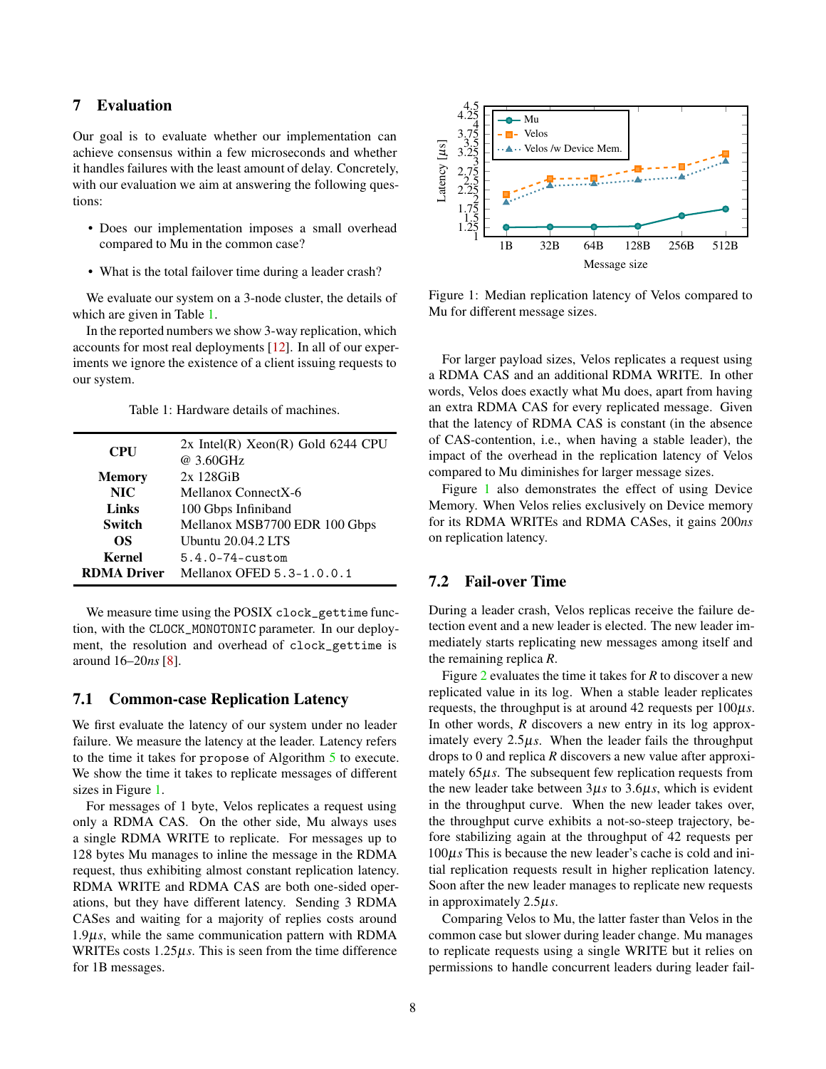# <span id="page-7-0"></span>7 Evaluation

Our goal is to evaluate whether our implementation can achieve consensus within a few microseconds and whether it handles failures with the least amount of delay. Concretely, with our evaluation we aim at answering the following questions:

- Does our implementation imposes a small overhead compared to Mu in the common case?
- What is the total failover time during a leader crash?

We evaluate our system on a 3-node cluster, the details of which are given in Table [1.](#page-7-1)

In the reported numbers we show 3-way replication, which accounts for most real deployments [\[12\]](#page-8-10). In all of our experiments we ignore the existence of a client issuing requests to our system.

Table 1: Hardware details of machines.

<span id="page-7-1"></span>

| <b>CPU</b>         | $2x$ Intel(R) Xeon(R) Gold 6244 CPU<br>@ 3.60GHz |
|--------------------|--------------------------------------------------|
| <b>Memory</b>      | $2x$ 128 $GiB$                                   |
| <b>NIC</b>         | Mellanox ConnectX-6                              |
| Links              | 100 Gbps Infiniband                              |
| <b>Switch</b>      | Mellanox MSB7700 EDR 100 Gbps                    |
| OS.                | Ubuntu 20.04.2 LTS                               |
| <b>Kernel</b>      | $5.4.0 - 74 - \text{custom}$                     |
| <b>RDMA Driver</b> | Mellanox OFED 5.3-1.0.0.1                        |

We measure time using the POSIX clock\_gettime function, with the CLOCK\_MONOTONIC parameter. In our deployment, the resolution and overhead of clock\_gettime is around 16–20*ns* [\[8\]](#page-8-11).

## 7.1 Common-case Replication Latency

We first evaluate the latency of our system under no leader failure. We measure the latency at the leader. Latency refers to the time it takes for propose of Algorithm [5](#page-5-1) to execute. We show the time it takes to replicate messages of different sizes in Figure [1.](#page-7-2)

For messages of 1 byte, Velos replicates a request using only a RDMA CAS. On the other side, Mu always uses a single RDMA WRITE to replicate. For messages up to 128 bytes Mu manages to inline the message in the RDMA request, thus exhibiting almost constant replication latency. RDMA WRITE and RDMA CAS are both one-sided operations, but they have different latency. Sending 3 RDMA CASes and waiting for a majority of replies costs around 1.9µ*s*, while the same communication pattern with RDMA WRITEs costs 1.25µ*s*. This is seen from the time difference for 1B messages.

<span id="page-7-2"></span>

Figure 1: Median replication latency of Velos compared to Mu for different message sizes.

For larger payload sizes, Velos replicates a request using a RDMA CAS and an additional RDMA WRITE. In other words, Velos does exactly what Mu does, apart from having an extra RDMA CAS for every replicated message. Given that the latency of RDMA CAS is constant (in the absence of CAS-contention, i.e., when having a stable leader), the impact of the overhead in the replication latency of Velos compared to Mu diminishes for larger message sizes.

Figure [1](#page-7-2) also demonstrates the effect of using Device Memory. When Velos relies exclusively on Device memory for its RDMA WRITEs and RDMA CASes, it gains 200*ns* on replication latency.

# 7.2 Fail-over Time

During a leader crash, Velos replicas receive the failure detection event and a new leader is elected. The new leader immediately starts replicating new messages among itself and the remaining replica *R*.

Figure [2](#page-8-12) evaluates the time it takes for *R* to discover a new replicated value in its log. When a stable leader replicates requests, the throughput is at around 42 requests per 100µ*s*. In other words, *R* discovers a new entry in its log approximately every 2.5µ*s*. When the leader fails the throughput drops to 0 and replica *R* discovers a new value after approximately 65 $\mu$ *s*. The subsequent few replication requests from the new leader take between 3µ*s* to 3.6µ*s*, which is evident in the throughput curve. When the new leader takes over, the throughput curve exhibits a not-so-steep trajectory, before stabilizing again at the throughput of 42 requests per 100µ*s* This is because the new leader's cache is cold and initial replication requests result in higher replication latency. Soon after the new leader manages to replicate new requests in approximately 2.5µ*s*.

Comparing Velos to Mu, the latter faster than Velos in the common case but slower during leader change. Mu manages to replicate requests using a single WRITE but it relies on permissions to handle concurrent leaders during leader fail-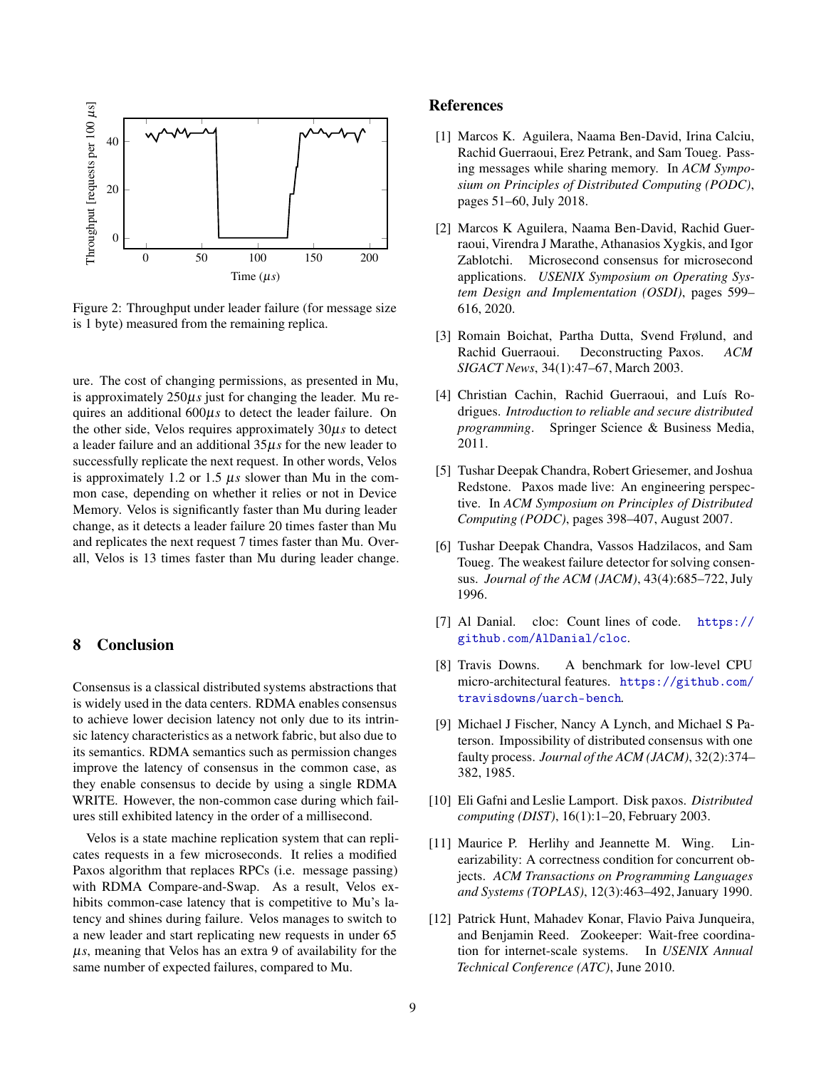<span id="page-8-12"></span>

Figure 2: Throughput under leader failure (for message size is 1 byte) measured from the remaining replica.

ure. The cost of changing permissions, as presented in Mu, is approximately 250µ*s* just for changing the leader. Mu requires an additional 600µ*s* to detect the leader failure. On the other side, Velos requires approximately 30µ*s* to detect a leader failure and an additional 35µ*s* for the new leader to successfully replicate the next request. In other words, Velos is approximately 1.2 or 1.5 µ*s* slower than Mu in the common case, depending on whether it relies or not in Device Memory. Velos is significantly faster than Mu during leader change, as it detects a leader failure 20 times faster than Mu and replicates the next request 7 times faster than Mu. Overall, Velos is 13 times faster than Mu during leader change.

# 8 Conclusion

Consensus is a classical distributed systems abstractions that is widely used in the data centers. RDMA enables consensus to achieve lower decision latency not only due to its intrinsic latency characteristics as a network fabric, but also due to its semantics. RDMA semantics such as permission changes improve the latency of consensus in the common case, as they enable consensus to decide by using a single RDMA WRITE. However, the non-common case during which failures still exhibited latency in the order of a millisecond.

Velos is a state machine replication system that can replicates requests in a few microseconds. It relies a modified Paxos algorithm that replaces RPCs (i.e. message passing) with RDMA Compare-and-Swap. As a result, Velos exhibits common-case latency that is competitive to Mu's latency and shines during failure. Velos manages to switch to a new leader and start replicating new requests in under 65  $\mu$ s, meaning that Velos has an extra 9 of availability for the same number of expected failures, compared to Mu.

## <span id="page-8-4"></span>References

- [1] Marcos K. Aguilera, Naama Ben-David, Irina Calciu, Rachid Guerraoui, Erez Petrank, and Sam Toueg. Passing messages while sharing memory. In *ACM Symposium on Principles of Distributed Computing (PODC)*, pages 51–60, July 2018.
- <span id="page-8-1"></span>[2] Marcos K Aguilera, Naama Ben-David, Rachid Guerraoui, Virendra J Marathe, Athanasios Xygkis, and Igor Zablotchi. Microsecond consensus for microsecond applications. *USENIX Symposium on Operating System Design and Implementation (OSDI)*, pages 599– 616, 2020.
- <span id="page-8-2"></span>[3] Romain Boichat, Partha Dutta, Svend Frølund, and Rachid Guerraoui. Deconstructing Paxos. *ACM SIGACT News*, 34(1):47–67, March 2003.
- <span id="page-8-0"></span>[4] Christian Cachin, Rachid Guerraoui, and Luís Rodrigues. *Introduction to reliable and secure distributed programming*. Springer Science & Business Media, 2011.
- <span id="page-8-8"></span>[5] Tushar Deepak Chandra, Robert Griesemer, and Joshua Redstone. Paxos made live: An engineering perspective. In *ACM Symposium on Principles of Distributed Computing (PODC)*, pages 398–407, August 2007.
- <span id="page-8-6"></span>[6] Tushar Deepak Chandra, Vassos Hadzilacos, and Sam Toueg. The weakest failure detector for solving consensus. *Journal of the ACM (JACM)*, 43(4):685–722, July 1996.
- <span id="page-8-9"></span>[7] Al Danial. cloc: Count lines of code. [https://](https://github.com/AlDanial/cloc) [github.com/AlDanial/cloc](https://github.com/AlDanial/cloc).
- <span id="page-8-11"></span>[8] Travis Downs. A benchmark for low-level CPU micro-architectural features. [https://github.com/](https://github.com/travisdowns/uarch-bench) [travisdowns/uarch-bench](https://github.com/travisdowns/uarch-bench).
- <span id="page-8-5"></span>[9] Michael J Fischer, Nancy A Lynch, and Michael S Paterson. Impossibility of distributed consensus with one faulty process. *Journal of the ACM (JACM)*, 32(2):374– 382, 1985.
- <span id="page-8-3"></span>[10] Eli Gafni and Leslie Lamport. Disk paxos. *Distributed computing (DIST)*, 16(1):1–20, February 2003.
- <span id="page-8-7"></span>[11] Maurice P. Herlihy and Jeannette M. Wing. Linearizability: A correctness condition for concurrent objects. *ACM Transactions on Programming Languages and Systems (TOPLAS)*, 12(3):463–492, January 1990.
- <span id="page-8-10"></span>[12] Patrick Hunt, Mahadev Konar, Flavio Paiva Junqueira, and Benjamin Reed. Zookeeper: Wait-free coordination for internet-scale systems. In *USENIX Annual Technical Conference (ATC)*, June 2010.